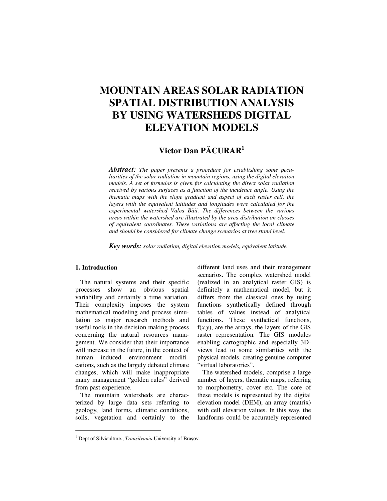# **MOUNTAIN AREAS SOLAR RADIATION SPATIAL DISTRIBUTION ANALYSIS BY USING WATERSHEDS DIGITAL ELEVATION MODELS**

# **Victor Dan P**Ă**CURAR<sup>1</sup>**

*Abstract: The paper presents a procedure for establishing some peculiarities of the solar radiation in mountain regions, using the digital elevation models. A set of formulas is given for calculating the direct solar radiation received by various surfaces as a function of the incidence angle. Using the thematic maps with the slope gradient and aspect of each raster cell, the layers with the equivalent latitudes and longitudes were calculated for the experimental watershed Valea B*ă*ii. The differences between the various areas within the watershed are illustrated by the area distribution on classes of equivalent coordinates. These variations are affecting the local climate and should be considered for climate change scenarios at tree stand level.* 

*Key words: solar radiation, digital elevation models, equivalent latitude.*

## **1. Introduction**

 $\ddot{ }$ 

The natural systems and their specific processes show an obvious spatial variability and certainly a time variation. Their complexity imposes the system mathematical modeling and process simulation as major research methods and useful tools in the decision making process concerning the natural resources management. We consider that their importance will increase in the future, in the context of human induced environment modifications, such as the largely debated climate changes, which will make inappropriate many management "golden rules" derived from past experience.

The mountain watersheds are characterized by large data sets referring to geology, land forms, climatic conditions, soils, vegetation and certainly to the different land uses and their management scenarios. The complex watershed model (realized in an analytical raster GIS) is definitely a mathematical model, but it differs from the classical ones by using functions synthetically defined through tables of values instead of analytical functions. These synthetical functions,  $f(x, y)$ , are the arrays, the layers of the GIS raster representation. The GIS modules enabling cartographic and especially 3Dviews lead to some similarities with the physical models, creating genuine computer "virtual laboratories".

The watershed models, comprise a large number of layers, thematic maps, referring to morphometry, cover etc. The core of these models is represented by the digital elevation model (DEM), an array (matrix) with cell elevation values. In this way, the landforms could be accurately represented

<sup>&</sup>lt;sup>1</sup> Dept of Silviculture., *Transilvania* University of Braşov.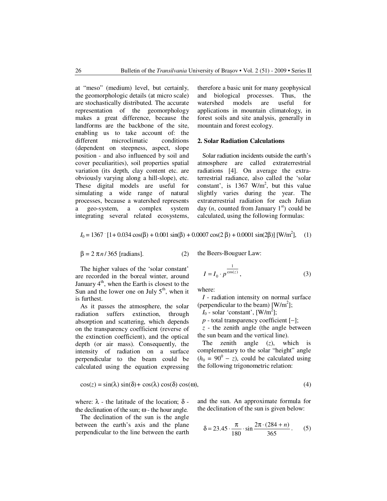at "meso" (medium) level, but certainly, the geomorphologic details (at micro scale) are stochastically distributed. The accurate representation of the geomorphology makes a great difference, because the landforms are the backbone of the site, enabling us to take account of: the different microclimatic conditions (dependent on steepness, aspect, slope position - and also influenced by soil and cover peculiarities), soil properties spatial variation (its depth, clay content etc. are obviously varying along a hill-slope), etc. These digital models are useful for simulating a wide range of natural processes, because a watershed represents a geo-system, a complex system integrating several related ecosystems,

therefore a basic unit for many geophysical and biological processes. Thus, the watershed models are useful for applications in mountain climatology, in forest soils and site analysis, generally in mountain and forest ecology.

# **2. Solar Radiation Calculations**

Solar radiation incidents outside the earth's atmosphere are called extraterrestrial radiations [4]. On average the extraterrestrial radiance, also called the 'solar constant', is  $1367$  W/m<sup>2</sup>, but this value slightly varies during the year. The extraterrestrial radiation for each Julian day  $(n,$  counted from January  $1<sup>st</sup>$  could be calculated, using the following formulas:

$$
I_0 = 1367 \cdot [1 + 0.034 \cos(\beta) + 0.001 \sin(\beta) + 0.0007 \cos(2\beta) + 0.0001 \sin(2\beta)] \text{ [W/m}^2], \quad (1)
$$

$$
\beta = 2 \pi n / 365
$$
 [radians]. (2)

The higher values of the 'solar constant' are recorded in the boreal winter, around January  $4<sup>th</sup>$ , when the Earth is closest to the Sun and the lower one on July  $5<sup>th</sup>$ , when it is furthest.

As it passes the atmosphere, the solar radiation suffers extinction, through absorption and scattering, which depends on the transparency coefficient (reverse of the extinction coefficient), and the optical depth (or air mass). Consequently, the intensity of radiation on a surface perpendicular to the beam could be calculated using the equation expressing

$$
I = I_0 \cdot p^{\cos(z)},\tag{3}
$$

the Beers-Bouguer Law:

1

where:

*I* - radiation intensity on normal surface (perpendicular to the beam)  $[W/m^2]$ ;

 $I_0$  - solar 'constant', [W/m<sup>2</sup>];

*p* - total transparency coefficient [−]; *z* - the zenith angle (the angle between the sun beam and the vertical line).

The zenith angle (*z*), which is complementary to the solar "height" angle  $(h_0 = 90^0 - z)$ , could be calculated using the following trigonometric relation:

$$
\cos(z) = \sin(\lambda)\sin(\delta) + \cos(\lambda)\cos(\delta)\cos(\omega),\tag{4}
$$

where:  $\lambda$  - the latitude of the location;  $\delta$  the declination of the sun;  $\omega$  - the hour angle.

The declination of the sun is the angle between the earth's axis and the plane perpendicular to the line between the earth and the sun. An approximate formula for the declination of the sun is given below:

$$
\delta = 23.45 \cdot \frac{\pi}{180} \cdot \sin \frac{2\pi \cdot (284 + n)}{365} \,. \tag{5}
$$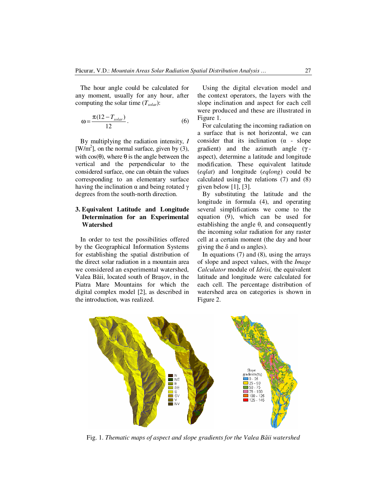The hour angle could be calculated for any moment, usually for any hour, after computing the solar time (*Tsolar*):

$$
\omega = \frac{\pi (12 - T_{solar})}{12}.
$$
 (6)

By multiplying the radiation intensity, *I*  $[W/m^2]$ , on the normal surface, given by (3), with  $cos(\theta)$ , where  $\theta$  is the angle between the vertical and the perpendicular to the considered surface, one can obtain the values corresponding to an elementary surface having the inclination  $\alpha$  and being rotated γ degrees from the south-north direction.

# **3. Equivalent Latitude and Longitude Determination for an Experimental Watershed**

In order to test the possibilities offered by the Geographical Information Systems for establishing the spatial distribution of the direct solar radiation in a mountain area we considered an experimental watershed, Valea Băii, located south of Braşov, in the Piatra Mare Mountains for which the digital complex model [2], as described in the introduction, was realized.

Using the digital elevation model and the context operators, the layers with the slope inclination and aspect for each cell were produced and these are illustrated in Figure 1.

For calculating the incoming radiation on a surface that is not horizontal, we can consider that its inclination  $(\alpha - s)$ gradient) and the azimuth angle (γ aspect), determine a latitude and longitude modification. These equivalent latitude (*eqlat*) and longitude (*eqlong*) could be calculated using the relations (7) and (8) given below [1], [3].

By substituting the latitude and the longitude in formula (4), and operating several simplifications we come to the equation (9), which can be used for establishing the angle  $\theta$ , and consequently the incoming solar radiation for any raster cell at a certain moment (the day and hour giving the  $\delta$  and  $\omega$  angles).

In equations  $(7)$  and  $(8)$ , using the arrays of slope and aspect values, with the *Image Calculator* module of *Idrisi,* the equivalent latitude and longitude were calculated for each cell. The percentage distribution of watershed area on categories is shown in Figure 2.



Fig. 1. *Thematic maps of aspect and slope gradients for the Valea B*ă*ii watershed*